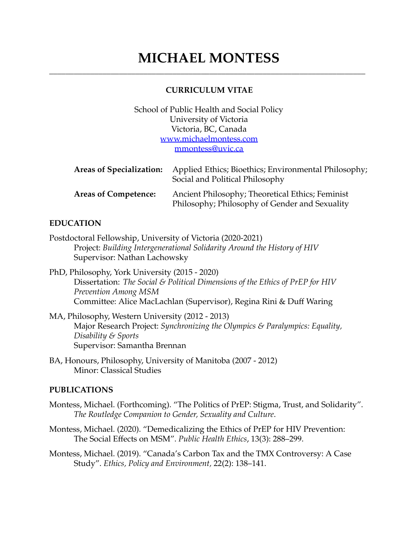# **MICHAEL MONTESS** \_\_\_\_\_\_\_\_\_\_\_\_\_\_\_\_\_\_\_\_\_\_\_\_\_\_\_\_\_\_\_\_\_\_\_\_\_\_\_\_\_\_\_\_\_\_\_\_\_\_\_\_\_\_\_\_\_\_\_\_\_\_\_\_\_\_\_\_\_\_\_\_\_\_\_\_\_

#### **CURRICULUM VITAE**

School of Public Health and Social Policy University of Victoria Victoria, BC, Canada [www.michaelmontess.com](http://www.michaelmontess.com/) [mmontess@uvic.ca](mailto:mmontess@uvic.ca)

| <b>Areas of Specialization:</b> | Applied Ethics; Bioethics; Environmental Philosophy;<br>Social and Political Philosophy            |
|---------------------------------|----------------------------------------------------------------------------------------------------|
| <b>Areas of Competence:</b>     | Ancient Philosophy; Theoretical Ethics; Feminist<br>Philosophy; Philosophy of Gender and Sexuality |

#### **EDUCATION**

- Postdoctoral Fellowship, University of Victoria (2020-2021) Project: *Building Intergenerational Solidarity Around the History of HIV* Supervisor: Nathan Lachowsky
- PhD, Philosophy, York University (2015 2020) Dissertation: *The Social & Political Dimensions of the Ethics of PrEP for HIV Prevention Among MSM* Committee: Alice MacLachlan (Supervisor), Regina Rini & Duff Waring
- MA, Philosophy, Western University (2012 2013) Major Research Project: *Synchronizing the Olympics & Paralympics: Equality, Disability & Sports* Supervisor: Samantha Brennan
- BA, Honours, Philosophy, University of Manitoba (2007 2012) Minor: Classical Studies

#### **PUBLICATIONS**

- Montess, Michael. (Forthcoming). "The Politics of PrEP: Stigma, Trust, and Solidarity". *The Routledge Companion to Gender, Sexuality and Culture*.
- Montess, Michael. (2020). "Demedicalizing the Ethics of PrEP for HIV Prevention: The Social Effects on MSM". *Public Health Ethics*, 13(3): 288–299.
- Montess, Michael. (2019). "Canada's Carbon Tax and the TMX Controversy: A Case Study". *Ethics, Policy and Environment,* 22(2): 138–141.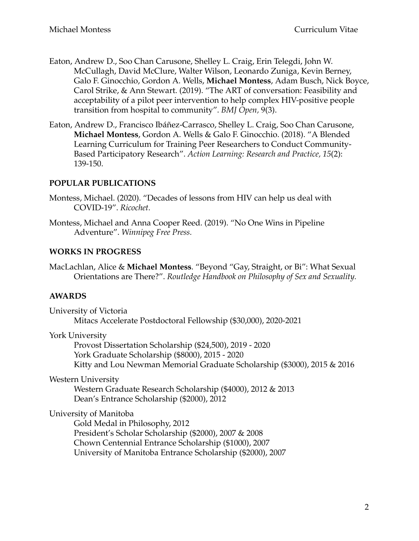- Eaton, Andrew D., Soo Chan Carusone, Shelley L. Craig, Erin Telegdi, John W. McCullagh, David McClure, Walter Wilson, Leonardo Zuniga, Kevin Berney, Galo F. Ginocchio, Gordon A. Wells, **Michael Montess**, Adam Busch, Nick Boyce, Carol Strike, & Ann Stewart. (2019). "The ART of conversation: Feasibility and acceptability of a pilot peer intervention to help complex HIV-positive people transition from hospital to community". *BMJ Open,* 9(3).
- Eaton, Andrew D., Francisco Ibáñez-Carrasco, Shelley L. Craig, Soo Chan Carusone, **Michael Montess**, Gordon A. Wells & Galo F. Ginocchio. (2018). "A Blended Learning Curriculum for Training Peer Researchers to Conduct Community-Based Participatory Research". *Action Learning: Research and Practice, 15* (2): 139-150.

# **POPULAR PUBLICATIONS**

- Montess, Michael. (2020). "Decades of lessons from HIV can help us deal with COVID-19". *Ricochet.*
- Montess, Michael and Anna Cooper Reed. (2019). "No One Wins in Pipeline Adventure". *Winnipeg Free Press.*

# **WORKS IN PROGRESS**

MacLachlan, Alice & **Michael Montess**. "Beyond "Gay, Straight, or Bi": What Sexual Orientations are There?". *Routledge Handbook on Philosophy of Sex and Sexuality.* 

# **AWARDS**

University of Victoria Mitacs Accelerate Postdoctoral Fellowship (\$30,000), 2020-2021

York University

Provost Dissertation Scholarship (\$24,500), 2019 - 2020 York Graduate Scholarship (\$8000), 2015 - 2020 Kitty and Lou Newman Memorial Graduate Scholarship (\$3000), 2015 & 2016

Western University

Western Graduate Research Scholarship (\$4000), 2012 & 2013 Dean's Entrance Scholarship (\$2000), 2012

University of Manitoba

Gold Medal in Philosophy, 2012 President's Scholar Scholarship (\$2000), 2007 & 2008 Chown Centennial Entrance Scholarship (\$1000), 2007 University of Manitoba Entrance Scholarship (\$2000), 2007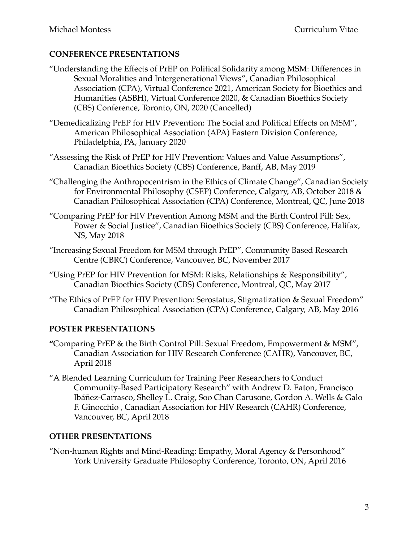# **CONFERENCE PRESENTATIONS**

- "Understanding the Effects of PrEP on Political Solidarity among MSM: Differences in Sexual Moralities and Intergenerational Views", Canadian Philosophical Association (CPA), Virtual Conference 2021, American Society for Bioethics and Humanities (ASBH), Virtual Conference 2020, & Canadian Bioethics Society (CBS) Conference, Toronto, ON, 2020 (Cancelled)
- "Demedicalizing PrEP for HIV Prevention: The Social and Political Effects on MSM", American Philosophical Association (APA) Eastern Division Conference, Philadelphia, PA, January 2020
- "Assessing the Risk of PrEP for HIV Prevention: Values and Value Assumptions", Canadian Bioethics Society (CBS) Conference, Banff, AB, May 2019
- "Challenging the Anthropocentrism in the Ethics of Climate Change", Canadian Society for Environmental Philosophy (CSEP) Conference, Calgary, AB, October 2018 & Canadian Philosophical Association (CPA) Conference, Montreal, QC, June 2018
- "Comparing PrEP for HIV Prevention Among MSM and the Birth Control Pill: Sex, Power & Social Justice", Canadian Bioethics Society (CBS) Conference, Halifax, NS, May 2018
- "Increasing Sexual Freedom for MSM through PrEP", Community Based Research Centre (CBRC) Conference, Vancouver, BC, November 2017
- "Using PrEP for HIV Prevention for MSM: Risks, Relationships & Responsibility", Canadian Bioethics Society (CBS) Conference, Montreal, QC, May 2017
- "The Ethics of PrEP for HIV Prevention: Serostatus, Stigmatization & Sexual Freedom" Canadian Philosophical Association (CPA) Conference, Calgary, AB, May 2016

# **POSTER PRESENTATIONS**

- **"**Comparing PrEP & the Birth Control Pill: Sexual Freedom, Empowerment & MSM", Canadian Association for HIV Research Conference (CAHR), Vancouver, BC, April 2018
- "A Blended Learning Curriculum for Training Peer Researchers to Conduct Community-Based Participatory Research" with Andrew D. Eaton, Francisco Ibáñez-Carrasco, Shelley L. Craig, Soo Chan Carusone, Gordon A. Wells & Galo F. Ginocchio , Canadian Association for HIV Research (CAHR) Conference, Vancouver, BC, April 2018

# **OTHER PRESENTATIONS**

"Non-human Rights and Mind-Reading: Empathy, Moral Agency & Personhood" York University Graduate Philosophy Conference, Toronto, ON, April 2016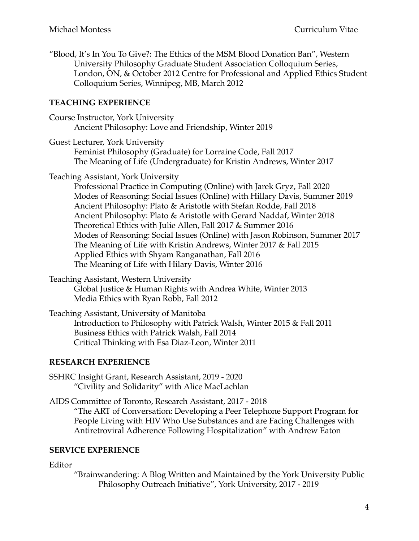"Blood, It's In You To Give?: The Ethics of the MSM Blood Donation Ban", Western University Philosophy Graduate Student Association Colloquium Series, London, ON, & October 2012 Centre for Professional and Applied Ethics Student Colloquium Series, Winnipeg, MB, March 2012

### **TEACHING EXPERIENCE**

| Course Instructor, York University                   |  |
|------------------------------------------------------|--|
| Ancient Philosophy: Love and Friendship, Winter 2019 |  |

Guest Lecturer, York University Feminist Philosophy (Graduate) for Lorraine Code, Fall 2017 The Meaning of Life (Undergraduate) for Kristin Andrews, Winter 2017

Teaching Assistant, York University

Professional Practice in Computing (Online) with Jarek Gryz, Fall 2020 Modes of Reasoning: Social Issues (Online) with Hillary Davis, Summer 2019 Ancient Philosophy: Plato & Aristotle with Stefan Rodde, Fall 2018 Ancient Philosophy: Plato & Aristotle with Gerard Naddaf, Winter 2018 Theoretical Ethics with Julie Allen, Fall 2017 & Summer 2016 Modes of Reasoning: Social Issues (Online) with Jason Robinson, Summer 2017 The Meaning of Life with Kristin Andrews, Winter 2017 & Fall 2015 Applied Ethics with Shyam Ranganathan, Fall 2016 The Meaning of Life with Hilary Davis, Winter 2016

Teaching Assistant, Western University Global Justice & Human Rights with Andrea White, Winter 2013

Media Ethics with Ryan Robb, Fall 2012 Teaching Assistant, University of Manitoba Introduction to Philosophy with Patrick Walsh, Winter 2015 & Fall 2011 Business Ethics with Patrick Walsh, Fall 2014 Critical Thinking with Esa Diaz-Leon, Winter 2011

#### **RESEARCH EXPERIENCE**

SSHRC Insight Grant, Research Assistant, 2019 - 2020 "Civility and Solidarity" with Alice MacLachlan

AIDS Committee of Toronto, Research Assistant, 2017 - 2018 "The ART of Conversation: Developing a Peer Telephone Support Program for People Living with HIV Who Use Substances and are Facing Challenges with Antiretroviral Adherence Following Hospitalization" with Andrew Eaton

#### **SERVICE EXPERIENCE**

Editor

"Brainwandering: A Blog Written and Maintained by the York University Public Philosophy Outreach Initiative", York University, 2017 - 2019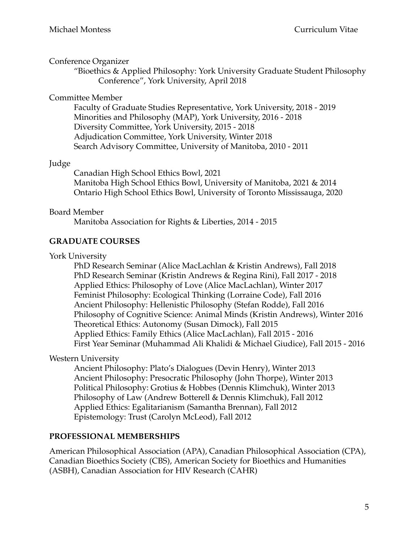#### Conference Organizer

"Bioethics & Applied Philosophy: York University Graduate Student Philosophy Conference", York University, April 2018

# Committee Member

Faculty of Graduate Studies Representative, York University, 2018 - 2019 Minorities and Philosophy (MAP), York University, 2016 - 2018 Diversity Committee, York University, 2015 - 2018 Adjudication Committee, York University, Winter 2018 Search Advisory Committee, University of Manitoba, 2010 - 2011

# Judge

Canadian High School Ethics Bowl, 2021 Manitoba High School Ethics Bowl, University of Manitoba, 2021 & 2014 Ontario High School Ethics Bowl, University of Toronto Mississauga, 2020

# Board Member

Manitoba Association for Rights & Liberties, 2014 - 2015

# **GRADUATE COURSES**

York University

PhD Research Seminar (Alice MacLachlan & Kristin Andrews), Fall 2018 PhD Research Seminar (Kristin Andrews & Regina Rini), Fall 2017 - 2018 Applied Ethics: Philosophy of Love (Alice MacLachlan), Winter 2017 Feminist Philosophy: Ecological Thinking (Lorraine Code), Fall 2016 Ancient Philosophy: Hellenistic Philosophy (Stefan Rodde), Fall 2016 Philosophy of Cognitive Science: Animal Minds (Kristin Andrews), Winter 2016 Theoretical Ethics: Autonomy (Susan Dimock), Fall 2015 Applied Ethics: Family Ethics (Alice MacLachlan), Fall 2015 - 2016 First Year Seminar (Muhammad Ali Khalidi & Michael Giudice), Fall 2015 - 2016

# Western University

Ancient Philosophy: Plato's Dialogues (Devin Henry), Winter 2013 Ancient Philosophy: Presocratic Philosophy (John Thorpe), Winter 2013 Political Philosophy: Grotius & Hobbes (Dennis Klimchuk), Winter 2013 Philosophy of Law (Andrew Botterell & Dennis Klimchuk), Fall 2012 Applied Ethics: Egalitarianism (Samantha Brennan), Fall 2012 Epistemology: Trust (Carolyn McLeod), Fall 2012

# **PROFESSIONAL MEMBERSHIPS**

American Philosophical Association (APA), Canadian Philosophical Association (CPA), Canadian Bioethics Society (CBS), American Society for Bioethics and Humanities (ASBH), Canadian Association for HIV Research (CAHR)